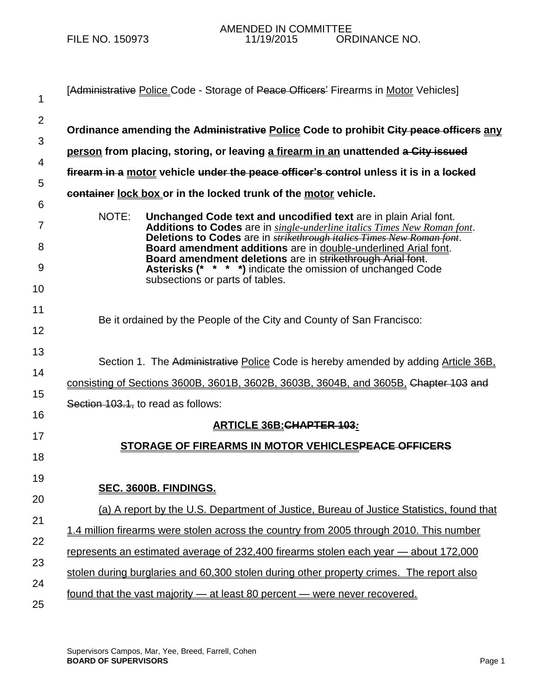| 1              | [Administrative Police Code - Storage of Peace Officers' Firearms in Motor Vehicles]                                                                                                                          |
|----------------|---------------------------------------------------------------------------------------------------------------------------------------------------------------------------------------------------------------|
| $\overline{2}$ |                                                                                                                                                                                                               |
| 3              | Ordinance amending the Administrative Police Code to prohibit City peace officers any                                                                                                                         |
| 4              | person from placing, storing, or leaving a firearm in an unattended a City issued                                                                                                                             |
| 5              | firearm in a motor vehicle under the peace officer's control unless it is in a locked                                                                                                                         |
| 6              | container lock box or in the locked trunk of the motor vehicle.                                                                                                                                               |
| 7              | NOTE:<br>Unchanged Code text and uncodified text are in plain Arial font.<br>Additions to Codes are in single-underline italics Times New Roman font.                                                         |
| 8              | Deletions to Codes are in <b>strikethrough italics Times New Roman font</b> .<br>Board amendment additions are in double-underlined Arial font.<br>Board amendment deletions are in strikethrough Arial font. |
| 9              | <b>Asterisks (* * * *)</b> indicate the omission of unchanged Code<br>subsections or parts of tables.                                                                                                         |
| 10             |                                                                                                                                                                                                               |
| 11             | Be it ordained by the People of the City and County of San Francisco:                                                                                                                                         |
| 12             |                                                                                                                                                                                                               |
| 13             | Section 1. The Administrative Police Code is hereby amended by adding Article 36B.                                                                                                                            |
| 14             | consisting of Sections 3600B, 3601B, 3602B, 3603B, 3604B, and 3605B, Chapter 103 and                                                                                                                          |
| 15             | Section 103.1, to read as follows:                                                                                                                                                                            |
| 16             | <b>ARTICLE 36B: CHAPTER 103:</b>                                                                                                                                                                              |
| 17             | STORAGE OF FIREARMS IN MOTOR VEHICLESPEACE OFFICERS                                                                                                                                                           |
| 18             |                                                                                                                                                                                                               |
| 19             |                                                                                                                                                                                                               |
| 20             | SEC. 3600B. FINDINGS.                                                                                                                                                                                         |
| 21             | (a) A report by the U.S. Department of Justice, Bureau of Justice Statistics, found that                                                                                                                      |
| 22             | 1.4 million firearms were stolen across the country from 2005 through 2010. This number                                                                                                                       |
| 23             | represents an estimated average of 232,400 firearms stolen each year - about 172,000                                                                                                                          |
| 24             | stolen during burglaries and 60,300 stolen during other property crimes. The report also                                                                                                                      |
| 25             | <u>found that the vast majority – at least 80 percent – were never recovered.</u>                                                                                                                             |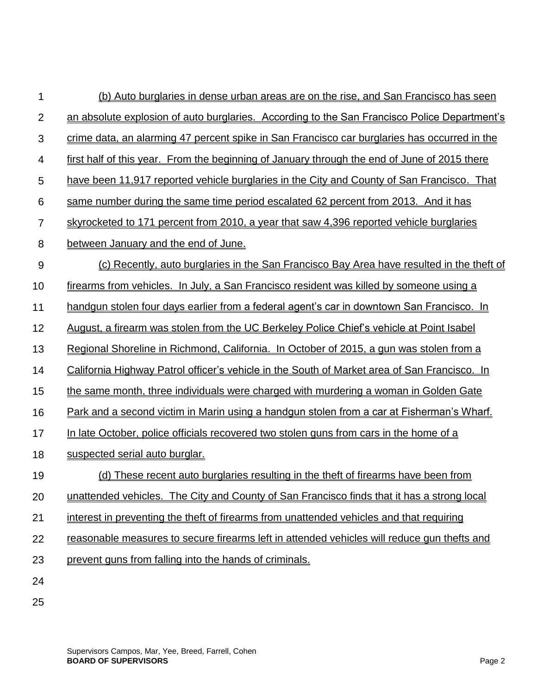| 1              | (b) Auto burglaries in dense urban areas are on the rise, and San Francisco has seen                |
|----------------|-----------------------------------------------------------------------------------------------------|
| $\overline{2}$ | an absolute explosion of auto burglaries. According to the San Francisco Police Department's        |
| 3              | crime data, an alarming 47 percent spike in San Francisco car burglaries has occurred in the        |
| 4              | first half of this year. From the beginning of January through the end of June of 2015 there        |
| 5              | have been 11,917 reported vehicle burglaries in the City and County of San Francisco. That          |
| 6              | same number during the same time period escalated 62 percent from 2013. And it has                  |
| 7              | skyrocketed to 171 percent from 2010, a year that saw 4,396 reported vehicle burglaries             |
| 8              | between January and the end of June.                                                                |
| 9              | (c) Recently, auto burglaries in the San Francisco Bay Area have resulted in the theft of           |
| 10             | firearms from vehicles. In July, a San Francisco resident was killed by someone using a             |
| 11             | handgun stolen four days earlier from a federal agent's car in downtown San Francisco. In           |
| 12             | August, a firearm was stolen from the UC Berkeley Police Chief's vehicle at Point Isabel            |
| 13             | Regional Shoreline in Richmond, California. In October of 2015, a gun was stolen from a             |
| 14             | <u>California Highway Patrol officer's vehicle in the South of Market area of San Francisco. In</u> |
| 15             | the same month, three individuals were charged with murdering a woman in Golden Gate                |
| 16             | Park and a second victim in Marin using a handgun stolen from a car at Fisherman's Wharf.           |
| 17             | In late October, police officials recovered two stolen guns from cars in the home of a              |
| 18             | suspected serial auto burglar.                                                                      |
| 19             | (d) These recent auto burglaries resulting in the theft of firearms have been from                  |
| 20             | unattended vehicles. The City and County of San Francisco finds that it has a strong local          |
| 21             | interest in preventing the theft of firearms from unattended vehicles and that requiring            |
| 22             | reasonable measures to secure firearms left in attended vehicles will reduce gun thefts and         |
| 23             | prevent guns from falling into the hands of criminals.                                              |
| 24             |                                                                                                     |
| 25             |                                                                                                     |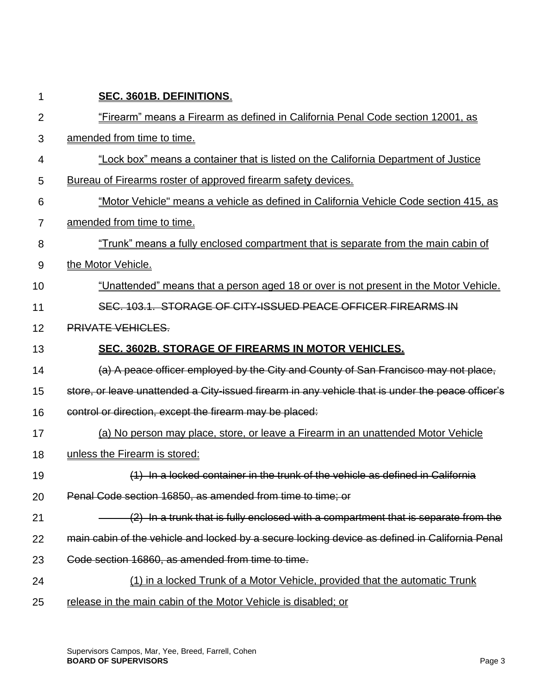| 1              | SEC. 3601B. DEFINITIONS.                                                                          |
|----------------|---------------------------------------------------------------------------------------------------|
| $\overline{2}$ | "Firearm" means a Firearm as defined in California Penal Code section 12001, as                   |
| 3              | amended from time to time.                                                                        |
| 4              | "Lock box" means a container that is listed on the California Department of Justice               |
| 5              | Bureau of Firearms roster of approved firearm safety devices.                                     |
| 6              | "Motor Vehicle" means a vehicle as defined in California Vehicle Code section 415, as             |
| 7              | amended from time to time.                                                                        |
| 8              | "Trunk" means a fully enclosed compartment that is separate from the main cabin of                |
| 9              | the Motor Vehicle.                                                                                |
| 10             | "Unattended" means that a person aged 18 or over is not present in the Motor Vehicle.             |
| 11             | SEC. 103.1. STORAGE OF CITY-ISSUED PEACE OFFICER FIREARMS IN                                      |
| 12             | <b>PRIVATE VEHICLES.</b>                                                                          |
| 13             | SEC. 3602B. STORAGE OF FIREARMS IN MOTOR VEHICLES.                                                |
| 14             | (a) A peace officer employed by the City and County of San Francisco may not place,               |
| 15             | store, or leave unattended a City-issued firearm in any vehicle that is under the peace officer's |
| 16             | control or direction, except the firearm may be placed:                                           |
| 17             | (a) No person may place, store, or leave a Firearm in an unattended Motor Vehicle                 |
| 18             | unless the Firearm is stored:                                                                     |
| 19             | (1) In a locked container in the trunk of the vehicle as defined in California                    |
| 20             | Penal Code section 16850, as amended from time to time; or                                        |
| 21             | (2) In a trunk that is fully enclosed with a compartment that is separate from the                |
| 22             | main cabin of the vehicle and locked by a secure locking device as defined in California Penal    |
| 23             | Code section 16860, as amended from time to time.                                                 |
| 24             | (1) in a locked Trunk of a Motor Vehicle, provided that the automatic Trunk                       |
| 25             | release in the main cabin of the Motor Vehicle is disabled; or                                    |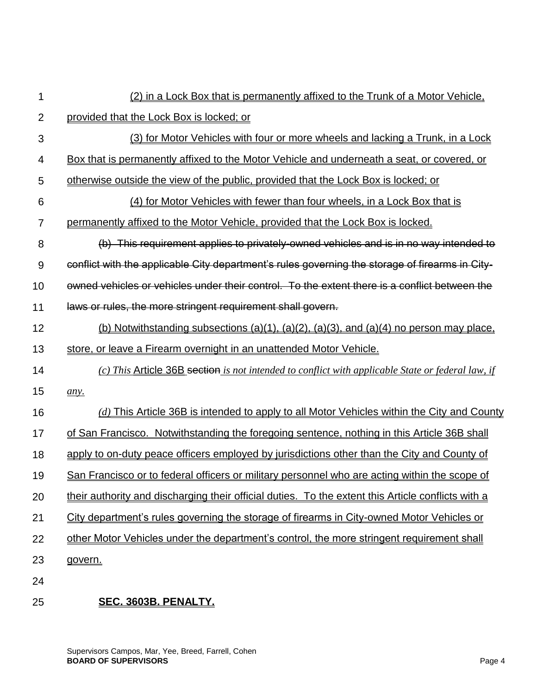| 1              | (2) in a Lock Box that is permanently affixed to the Trunk of a Motor Vehicle,                     |
|----------------|----------------------------------------------------------------------------------------------------|
| $\overline{2}$ | provided that the Lock Box is locked; or                                                           |
| 3              | (3) for Motor Vehicles with four or more wheels and lacking a Trunk, in a Lock                     |
| 4              | Box that is permanently affixed to the Motor Vehicle and underneath a seat, or covered, or         |
| 5              | otherwise outside the view of the public, provided that the Lock Box is locked; or                 |
| 6              | (4) for Motor Vehicles with fewer than four wheels, in a Lock Box that is                          |
| 7              | permanently affixed to the Motor Vehicle, provided that the Lock Box is locked.                    |
| 8              | (b) This requirement applies to privately-owned vehicles and is in no way intended to              |
| 9              | conflict with the applicable City department's rules governing the storage of firearms in City-    |
| 10             | owned vehicles or vehicles under their control. To the extent there is a conflict between the      |
| 11             | laws or rules, the more stringent requirement shall govern.                                        |
| 12             | (b) Notwithstanding subsections (a)(1), (a)(2), (a)(3), and (a)(4) no person may place,            |
| 13             | store, or leave a Firearm overnight in an unattended Motor Vehicle.                                |
| 14             | (c) This Article 36B section is not intended to conflict with applicable State or federal law, if  |
| 15             | any.                                                                                               |
| 16             | $(d)$ This Article 36B is intended to apply to all Motor Vehicles within the City and County       |
| 17             | of San Francisco. Notwithstanding the foregoing sentence, nothing in this Article 36B shall        |
| 18             | apply to on-duty peace officers employed by jurisdictions other than the City and County of        |
| 19             | San Francisco or to federal officers or military personnel who are acting within the scope of      |
| 20             | their authority and discharging their official duties. To the extent this Article conflicts with a |
| 21             | City department's rules governing the storage of firearms in City-owned Motor Vehicles or          |
| 22             | other Motor Vehicles under the department's control, the more stringent requirement shall          |
| 23             | govern.                                                                                            |
| 24             |                                                                                                    |
|                |                                                                                                    |

## 25 **SEC. 3603B. PENALTY.**